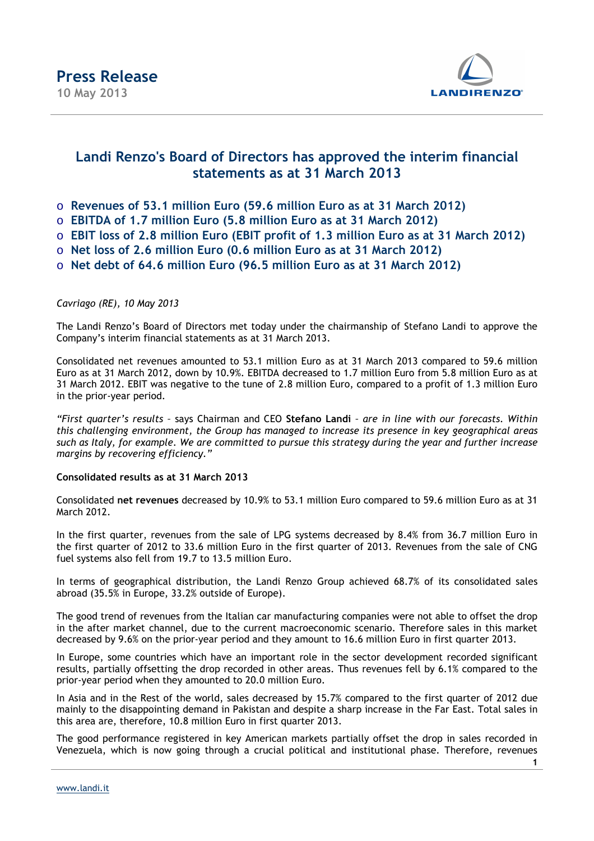

### **Landi Renzo's Board of Directors has approved the interim financial statements as at 31 March 2013**

- o **Revenues of 53.1 million Euro (59.6 million Euro as at 31 March 2012)**
- o **EBITDA of 1.7 million Euro (5.8 million Euro as at 31 March 2012)**
- o **EBIT loss of 2.8 million Euro (EBIT profit of 1.3 million Euro as at 31 March 2012)**
- o **Net loss of 2.6 million Euro (0.6 million Euro as at 31 March 2012)**
- o **Net debt of 64.6 million Euro (96.5 million Euro as at 31 March 2012)**

### *Cavriago (RE), 10 May 2013*

The Landi Renzo's Board of Directors met today under the chairmanship of Stefano Landi to approve the Company's interim financial statements as at 31 March 2013.

Consolidated net revenues amounted to 53.1 million Euro as at 31 March 2013 compared to 59.6 million Euro as at 31 March 2012, down by 10.9%. EBITDA decreased to 1.7 million Euro from 5.8 million Euro as at 31 March 2012. EBIT was negative to the tune of 2.8 million Euro, compared to a profit of 1.3 million Euro in the prior-year period.

*"First quarter's results –* says Chairman and CEO **Stefano Landi** *– are in line with our forecasts. Within this challenging environment, the Group has managed to increase its presence in key geographical areas such as Italy, for example. We are committed to pursue this strategy during the year and further increase margins by recovering efficiency."* 

### **Consolidated results as at 31 March 2013**

Consolidated **net revenues** decreased by 10.9% to 53.1 million Euro compared to 59.6 million Euro as at 31 March 2012.

In the first quarter, revenues from the sale of LPG systems decreased by 8.4% from 36.7 million Euro in the first quarter of 2012 to 33.6 million Euro in the first quarter of 2013. Revenues from the sale of CNG fuel systems also fell from 19.7 to 13.5 million Euro.

In terms of geographical distribution, the Landi Renzo Group achieved 68.7% of its consolidated sales abroad (35.5% in Europe, 33.2% outside of Europe).

The good trend of revenues from the Italian car manufacturing companies were not able to offset the drop in the after market channel, due to the current macroeconomic scenario. Therefore sales in this market decreased by 9.6% on the prior-year period and they amount to 16.6 million Euro in first quarter 2013.

In Europe, some countries which have an important role in the sector development recorded significant results, partially offsetting the drop recorded in other areas. Thus revenues fell by 6.1% compared to the prior-year period when they amounted to 20.0 million Euro.

In Asia and in the Rest of the world, sales decreased by 15.7% compared to the first quarter of 2012 due mainly to the disappointing demand in Pakistan and despite a sharp increase in the Far East. Total sales in this area are, therefore, 10.8 million Euro in first quarter 2013.

The good performance registered in key American markets partially offset the drop in sales recorded in Venezuela, which is now going through a crucial political and institutional phase. Therefore, revenues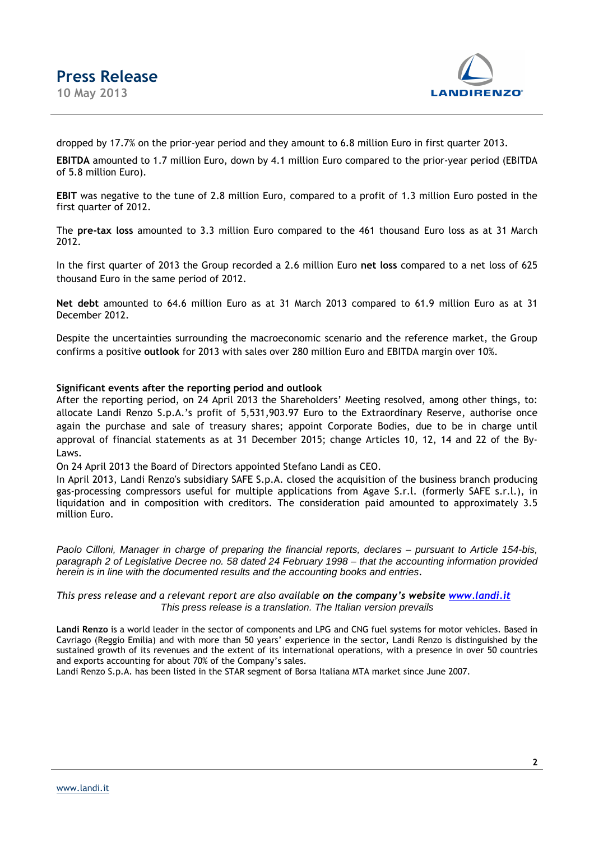

dropped by 17.7% on the prior-year period and they amount to 6.8 million Euro in first quarter 2013.

**EBITDA** amounted to 1.7 million Euro, down by 4.1 million Euro compared to the prior-year period (EBITDA of 5.8 million Euro).

**EBIT** was negative to the tune of 2.8 million Euro, compared to a profit of 1.3 million Euro posted in the first quarter of 2012.

The **pre-tax loss** amounted to 3.3 million Euro compared to the 461 thousand Euro loss as at 31 March 2012.

In the first quarter of 2013 the Group recorded a 2.6 million Euro **net loss** compared to a net loss of 625 thousand Euro in the same period of 2012.

**Net debt** amounted to 64.6 million Euro as at 31 March 2013 compared to 61.9 million Euro as at 31 December 2012.

Despite the uncertainties surrounding the macroeconomic scenario and the reference market, the Group confirms a positive **outlook** for 2013 with sales over 280 million Euro and EBITDA margin over 10%.

### **Significant events after the reporting period and outlook**

After the reporting period, on 24 April 2013 the Shareholders' Meeting resolved, among other things, to: allocate Landi Renzo S.p.A.'s profit of 5,531,903.97 Euro to the Extraordinary Reserve, authorise once again the purchase and sale of treasury shares; appoint Corporate Bodies, due to be in charge until approval of financial statements as at 31 December 2015; change Articles 10, 12, 14 and 22 of the By-Laws.

On 24 April 2013 the Board of Directors appointed Stefano Landi as CEO.

In April 2013, Landi Renzo's subsidiary SAFE S.p.A. closed the acquisition of the business branch producing gas-processing compressors useful for multiple applications from Agave S.r.l. (formerly SAFE s.r.l.), in liquidation and in composition with creditors. The consideration paid amounted to approximately 3.5 million Euro.

Paolo Cilloni, Manager in charge of preparing the financial reports, declares – pursuant to Article 154-bis, paragraph 2 of Legislative Decree no. 58 dated 24 February 1998 – that the accounting information provided herein is in line with the documented results and the accounting books and entries*.* 

*This press release and a relevant report are also available on the company's website www.landi.it* This press release is a translation. The Italian version prevails

**Landi Renzo** is a world leader in the sector of components and LPG and CNG fuel systems for motor vehicles. Based in Cavriago (Reggio Emilia) and with more than 50 years' experience in the sector, Landi Renzo is distinguished by the sustained growth of its revenues and the extent of its international operations, with a presence in over 50 countries and exports accounting for about 70% of the Company's sales.

Landi Renzo S.p.A. has been listed in the STAR segment of Borsa Italiana MTA market since June 2007.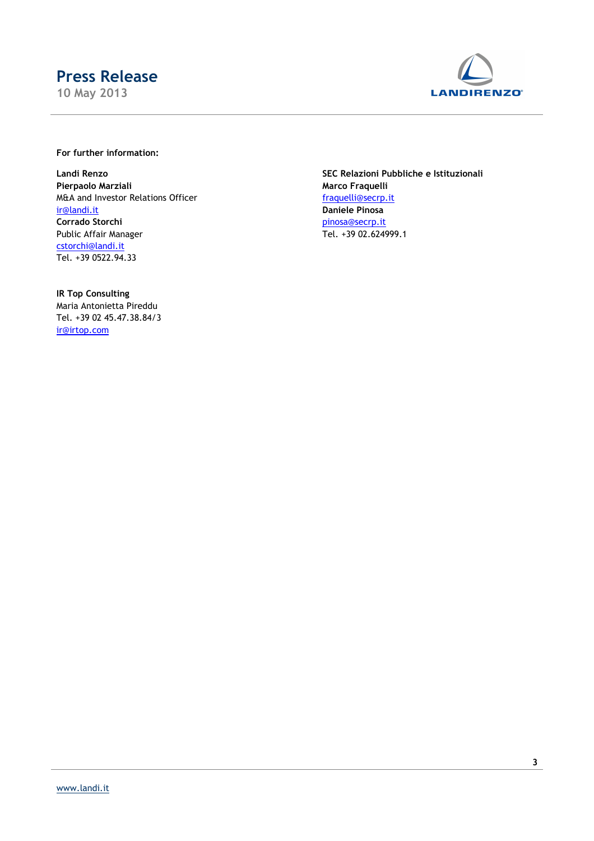**10 May 2013** 



### **For further information:**

**Pierpaolo Marziali Marco Fraquelli** M&A and Investor Relations Officer fraguelli@secrp.it ir@landi.it **Daniele Pinosa Corrado Storchi** pinosa@secrp.it Public Affair Manager Tel. +39 02.624999.1 cstorchi@landi.it Tel. +39 0522.94.33

**IR Top Consulting** Maria Antonietta Pireddu Tel. +39 02 45.47.38.84/3 ir@irtop.com

**Landi Renzo SEC Relazioni Pubbliche e Istituzionali**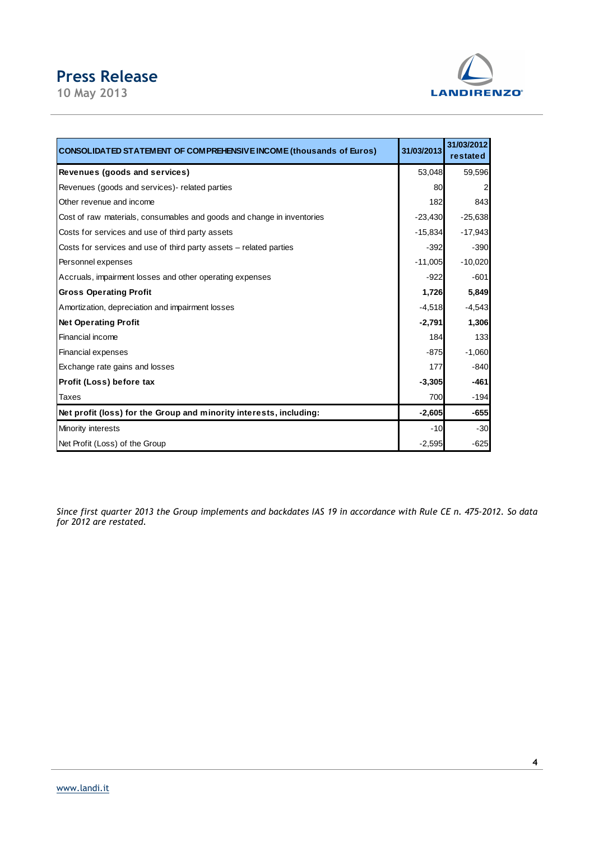**10 May 2013** 



| <b>CONSOLIDATED STATEMENT OF COMPREHENSIVE INCOME (thousands of Euros)</b> | 31/03/2013 | 31/03/2012<br>restated |
|----------------------------------------------------------------------------|------------|------------------------|
| Revenues (goods and services)                                              | 53,048     | 59,596                 |
| Revenues (goods and services) - related parties                            | 80         | $\overline{2}$         |
| Other revenue and income                                                   | 182        | 843                    |
| Cost of raw materials, consumables and goods and change in inventories     | $-23,430$  | $-25,638$              |
| Costs for services and use of third party assets                           | $-15,834$  | $-17,943$              |
| Costs for services and use of third party assets – related parties         | $-392$     | $-390$                 |
| Personnel expenses                                                         | $-11,005$  | $-10,020$              |
| Accruals, impairment losses and other operating expenses                   | $-922$     | $-601$                 |
| <b>Gross Operating Profit</b>                                              | 1,726      | 5,849                  |
| Amortization, depreciation and impairment losses                           | $-4,518$   | $-4,543$               |
| <b>Net Operating Profit</b>                                                | $-2,791$   | 1,306                  |
| Financial income                                                           | 184        | 133                    |
| Financial expenses                                                         | $-875$     | $-1,060$               |
| Exchange rate gains and losses                                             | 177        | $-840$                 |
| Profit (Loss) before tax                                                   | $-3,305$   | $-461$                 |
| Taxes                                                                      | 700        | $-194$                 |
| Net profit (loss) for the Group and minority interests, including:         | $-2,605$   | $-655$                 |
| Minority interests                                                         | $-10$      | $-30$                  |
| Net Profit (Loss) of the Group                                             | $-2,595$   | $-625$                 |

*Since first quarter 2013 the Group implements and backdates IAS 19 in accordance with Rule CE n. 475-2012. So data for 2012 are restated.*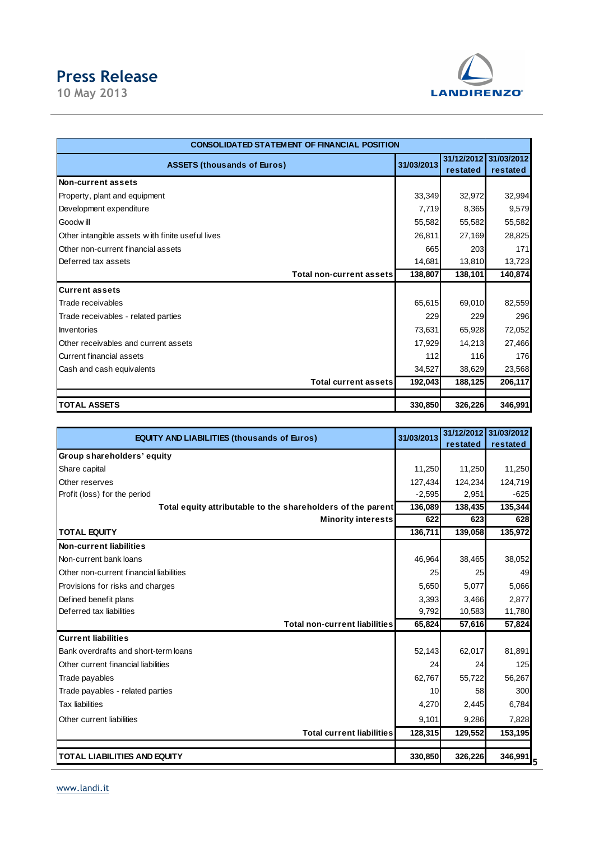**10 May 2013** 



| CONSOLIDATED STATEMENT OF FINANCIAL POSITION     |            |                        |                        |
|--------------------------------------------------|------------|------------------------|------------------------|
| <b>ASSETS (thousands of Euros)</b>               | 31/03/2013 | 31/12/2012<br>restated | 31/03/2012<br>restated |
| Non-current assets                               |            |                        |                        |
| Property, plant and equipment                    | 33,349     | 32,972                 | 32,994                 |
| Development expenditure                          | 7,719      | 8,365                  | 9,579                  |
| Goodw ill                                        | 55,582     | 55,582                 | 55,582                 |
| Other intangible assets with finite useful lives | 26,811     | 27,169                 | 28,825                 |
| Other non-current financial assets               | 665        | 203                    | 171                    |
| Deferred tax assets                              | 14,681     | 13,810                 | 13,723                 |
| Total non-current assets                         | 138,807    | 138,101                | 140,874                |
| <b>Current assets</b>                            |            |                        |                        |
| Trade receivables                                | 65,615     | 69,010                 | 82,559                 |
| Trade receivables - related parties              | 229        | 229                    | 296                    |
| Inventories                                      | 73,631     | 65,928                 | 72,052                 |
| Other receivables and current assets             | 17,929     | 14,213                 | 27,466                 |
| <b>Current financial assets</b>                  | 112        | 116                    | 176                    |
| Cash and cash equivalents                        | 34,527     | 38,629                 | 23,568                 |
| Total current assets                             | 192,043    | 188,125                | 206,117                |
|                                                  |            |                        |                        |
| <b>TOTAL ASSETS</b>                              | 330,850    | 326,226                | 346,991                |

| <b>EQUITY AND LIABILITIES (thousands of Euros)</b>          | 31/03/2013 |          | 31/12/2012 31/03/2012 |
|-------------------------------------------------------------|------------|----------|-----------------------|
|                                                             |            | restated | restated              |
| Group shareholders' equity                                  |            |          |                       |
| Share capital                                               | 11,250     | 11,250   | 11,250                |
| Other reserves                                              | 127,434    | 124,234  | 124,719               |
| Profit (loss) for the period                                | $-2,595$   | 2,951    | $-625$                |
| Total equity attributable to the shareholders of the parent | 136,089    | 138,435  | 135,344               |
| <b>Minority interests</b>                                   | 622        | 623      | 628                   |
| <b>TOTAL EQUITY</b>                                         | 136,711    | 139,058  | 135,972               |
| Non-current liabilities                                     |            |          |                       |
| Non-current bank loans                                      | 46,964     | 38,465   | 38,052                |
| Other non-current financial liabilities                     | 25         | 25       | 49                    |
| Provisions for risks and charges                            | 5,650      | 5,077    | 5,066                 |
| Defined benefit plans                                       | 3,393      | 3,466    | 2,877                 |
| Deferred tax liabilities                                    | 9,792      | 10,583   | 11,780                |
| <b>Total non-current liabilities</b>                        | 65,824     | 57,616   | 57,824                |
| <b>Current liabilities</b>                                  |            |          |                       |
| Bank overdrafts and short-term loans                        | 52,143     | 62,017   | 81,891                |
| Other current financial liabilities                         | 24         | 24       | 125                   |
| Trade payables                                              | 62,767     | 55,722   | 56,267                |
| Trade payables - related parties                            | 10         | 58       | 300                   |
| <b>Tax liabilities</b>                                      | 4,270      | 2,445    | 6,784                 |
| Other current liabilities                                   | 9,101      | 9,286    | 7,828                 |
| <b>Total current liabilities</b>                            | 128,315    | 129,552  | 153,195               |
|                                                             |            |          |                       |
| <b>TOTAL LIABILITIES AND EQUITY</b>                         | 330,850    | 326,226  | 346,991               |